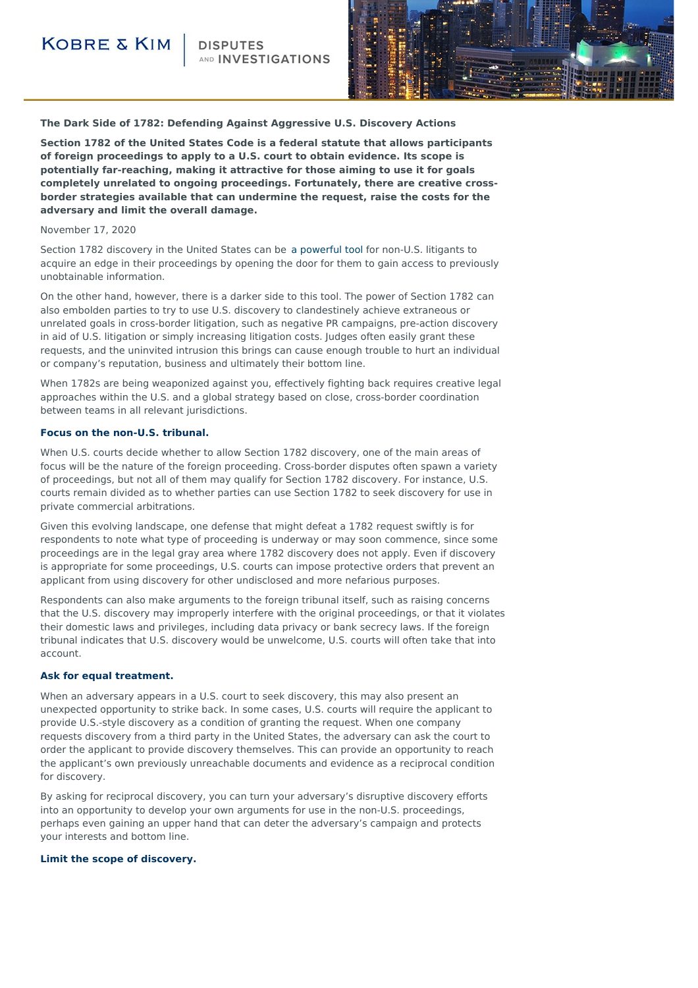## **KOBRE & KIM**

AND INVESTIGATIONS



**The Dark Side of 1782: Defending Against Aggressive U.S. Discovery Actions**

**Section 1782 of the United States Code is a federal statute that allows participants of foreign proceedings to apply to a U.S. court to obtain evidence. Its scope is potentially far-reaching, making it attractive for those aiming to use it for goals completely unrelated to ongoing proceedings. Fortunately, there are creative crossborder strategies available that can undermine the request, raise the costs for the adversary and limit the overall damage.**

### November 17, 2020

Section 1782 discovery in the United States can be a [powerful](https://kobrekim.com/news/us-discovery-1782-in-cross-border-enforcement-proceedings?utm_source=vuture&utm_medium=email&utm_campaign=17%20november%202020-2020%2011%2017%20the%20dark%20side%20of%201782%253a%20defending%20against%20aggressive%20u.s.%20discovery%20actions) tool for non-U.S. litigants to acquire an edge in their proceedings by opening the door for them to gain access to previously unobtainable information.

On the other hand, however, there is a darker side to this tool. The power of Section 1782 can also embolden parties to try to use U.S. discovery to clandestinely achieve extraneous or unrelated goals in cross-border litigation, such as negative PR campaigns, pre-action discovery in aid of U.S. litigation or simply increasing litigation costs. Judges often easily grant these requests, and the uninvited intrusion this brings can cause enough trouble to hurt an individual or company's reputation, business and ultimately their bottom line.

When 1782s are being weaponized against you, effectively fighting back requires creative legal approaches within the U.S. and a global strategy based on close, cross-border coordination between teams in all relevant jurisdictions.

#### **Focus on the non-U.S. tribunal.**

When U.S. courts decide whether to allow Section 1782 discovery, one of the main areas of focus will be the nature of the foreign proceeding. Cross-border disputes often spawn a variety of proceedings, but not all of them may qualify for Section 1782 discovery. For instance, U.S. courts remain divided as to whether parties can use Section 1782 to seek discovery for use in private commercial arbitrations.

Given this evolving landscape, one defense that might defeat a 1782 request swiftly is for respondents to note what type of proceeding is underway or may soon commence, since some proceedings are in the legal gray area where 1782 discovery does not apply. Even if discovery is appropriate for some proceedings, U.S. courts can impose protective orders that prevent an applicant from using discovery for other undisclosed and more nefarious purposes.

Respondents can also make arguments to the foreign tribunal itself, such as raising concerns that the U.S. discovery may improperly interfere with the original proceedings, or that it violates their domestic laws and privileges, including data privacy or bank secrecy laws. If the foreign tribunal indicates that U.S. discovery would be unwelcome, U.S. courts will often take that into account.

#### **Ask for equal treatment.**

When an adversary appears in a U.S. court to seek discovery, this may also present an unexpected opportunity to strike back. In some cases, U.S. courts will require the applicant to provide U.S.-style discovery as a condition of granting the request. When one company requests discovery from a third party in the United States, the adversary can ask the court to order the applicant to provide discovery themselves. This can provide an opportunity to reach the applicant's own previously unreachable documents and evidence as a reciprocal condition for discovery.

By asking for reciprocal discovery, you can turn your adversary's disruptive discovery efforts into an opportunity to develop your own arguments for use in the non-U.S. proceedings, perhaps even gaining an upper hand that can deter the adversary's campaign and protects your interests and bottom line.

#### **Limit the scope of discovery.**